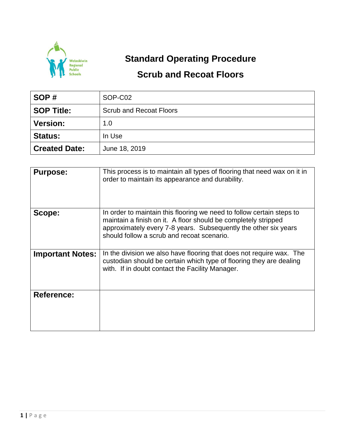

## **Standard Operating Procedure**

## **Scrub and Recoat Floors**

| SOP#                 | SOP-C02                        |  |  |
|----------------------|--------------------------------|--|--|
| <b>SOP Title:</b>    | <b>Scrub and Recoat Floors</b> |  |  |
| <b>Version:</b>      | 1.0                            |  |  |
| <b>Status:</b>       | In Use                         |  |  |
| <b>Created Date:</b> | June 18, 2019                  |  |  |

| <b>Purpose:</b>         | This process is to maintain all types of flooring that need wax on it in<br>order to maintain its appearance and durability.                                                                                                                             |
|-------------------------|----------------------------------------------------------------------------------------------------------------------------------------------------------------------------------------------------------------------------------------------------------|
| Scope:                  | In order to maintain this flooring we need to follow certain steps to<br>maintain a finish on it. A floor should be completely stripped<br>approximately every 7-8 years. Subsequently the other six years<br>should follow a scrub and recoat scenario. |
| <b>Important Notes:</b> | In the division we also have flooring that does not require wax. The<br>custodian should be certain which type of flooring they are dealing<br>with. If in doubt contact the Facility Manager.                                                           |
| <b>Reference:</b>       |                                                                                                                                                                                                                                                          |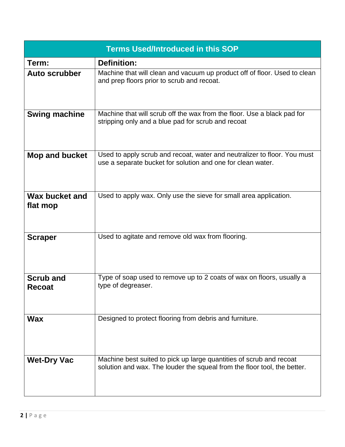| <b>Terms Used/Introduced in this SOP</b> |                                                                                                                                                 |  |  |  |  |  |
|------------------------------------------|-------------------------------------------------------------------------------------------------------------------------------------------------|--|--|--|--|--|
| Term:                                    | <b>Definition:</b>                                                                                                                              |  |  |  |  |  |
| <b>Auto scrubber</b>                     | Machine that will clean and vacuum up product off of floor. Used to clean<br>and prep floors prior to scrub and recoat.                         |  |  |  |  |  |
| <b>Swing machine</b>                     | Machine that will scrub off the wax from the floor. Use a black pad for<br>stripping only and a blue pad for scrub and recoat                   |  |  |  |  |  |
| Mop and bucket                           | Used to apply scrub and recoat, water and neutralizer to floor. You must<br>use a separate bucket for solution and one for clean water.         |  |  |  |  |  |
| <b>Wax bucket and</b><br>flat mop        | Used to apply wax. Only use the sieve for small area application.                                                                               |  |  |  |  |  |
| <b>Scraper</b>                           | Used to agitate and remove old wax from flooring.                                                                                               |  |  |  |  |  |
| <b>Scrub and</b><br><b>Recoat</b>        | Type of soap used to remove up to 2 coats of wax on floors, usually a<br>type of degreaser.                                                     |  |  |  |  |  |
| <b>Wax</b>                               | Designed to protect flooring from debris and furniture.                                                                                         |  |  |  |  |  |
| <b>Wet-Dry Vac</b>                       | Machine best suited to pick up large quantities of scrub and recoat<br>solution and wax. The louder the squeal from the floor tool, the better. |  |  |  |  |  |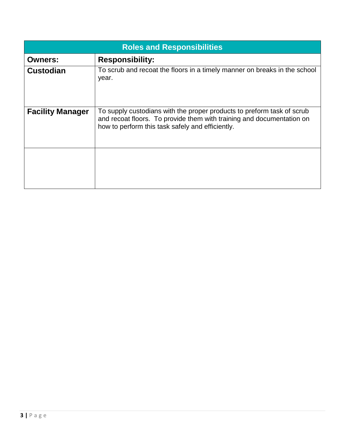| <b>Roles and Responsibilities</b> |                                                                                                                                                                                                     |  |  |  |  |
|-----------------------------------|-----------------------------------------------------------------------------------------------------------------------------------------------------------------------------------------------------|--|--|--|--|
| <b>Owners:</b>                    | <b>Responsibility:</b>                                                                                                                                                                              |  |  |  |  |
| <b>Custodian</b>                  | To scrub and recoat the floors in a timely manner on breaks in the school<br>year.                                                                                                                  |  |  |  |  |
| <b>Facility Manager</b>           | To supply custodians with the proper products to preform task of scrub<br>and recoat floors. To provide them with training and documentation on<br>how to perform this task safely and efficiently. |  |  |  |  |
|                                   |                                                                                                                                                                                                     |  |  |  |  |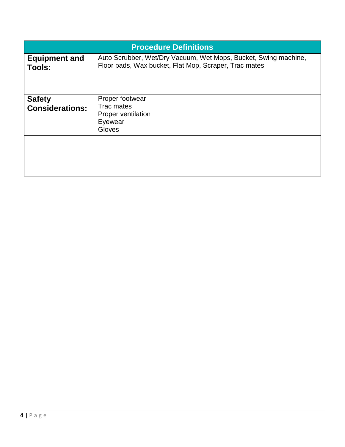| <b>Procedure Definitions</b>            |                                                                                                                          |  |  |
|-----------------------------------------|--------------------------------------------------------------------------------------------------------------------------|--|--|
| <b>Equipment and</b><br>Tools:          | Auto Scrubber, Wet/Dry Vacuum, Wet Mops, Bucket, Swing machine,<br>Floor pads, Wax bucket, Flat Mop, Scraper, Trac mates |  |  |
| <b>Safety</b><br><b>Considerations:</b> | Proper footwear<br>Trac mates<br><b>Proper ventilation</b><br>Eyewear<br>Gloves                                          |  |  |
|                                         |                                                                                                                          |  |  |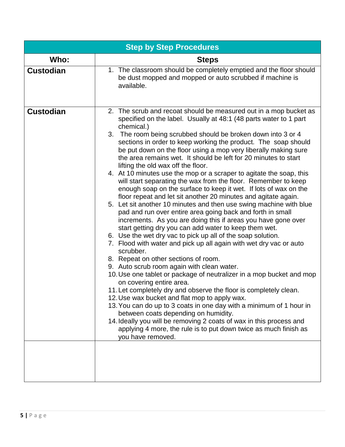| <b>Step by Step Procedures</b> |                                                                                                                                                                                                                                                                                                                                                                                                                                                                                                                                                                                                                                                                                                                                                                                                                                                                                                                                                                                                                                                                                                                                                                                                                                                                                                                                                                                                                                                                                                                                                                                                                                                                                                                                                                  |  |  |  |  |
|--------------------------------|------------------------------------------------------------------------------------------------------------------------------------------------------------------------------------------------------------------------------------------------------------------------------------------------------------------------------------------------------------------------------------------------------------------------------------------------------------------------------------------------------------------------------------------------------------------------------------------------------------------------------------------------------------------------------------------------------------------------------------------------------------------------------------------------------------------------------------------------------------------------------------------------------------------------------------------------------------------------------------------------------------------------------------------------------------------------------------------------------------------------------------------------------------------------------------------------------------------------------------------------------------------------------------------------------------------------------------------------------------------------------------------------------------------------------------------------------------------------------------------------------------------------------------------------------------------------------------------------------------------------------------------------------------------------------------------------------------------------------------------------------------------|--|--|--|--|
| Who:                           | <b>Steps</b>                                                                                                                                                                                                                                                                                                                                                                                                                                                                                                                                                                                                                                                                                                                                                                                                                                                                                                                                                                                                                                                                                                                                                                                                                                                                                                                                                                                                                                                                                                                                                                                                                                                                                                                                                     |  |  |  |  |
| <b>Custodian</b>               | 1. The classroom should be completely emptied and the floor should<br>be dust mopped and mopped or auto scrubbed if machine is<br>available.                                                                                                                                                                                                                                                                                                                                                                                                                                                                                                                                                                                                                                                                                                                                                                                                                                                                                                                                                                                                                                                                                                                                                                                                                                                                                                                                                                                                                                                                                                                                                                                                                     |  |  |  |  |
| <b>Custodian</b>               | 2. The scrub and recoat should be measured out in a mop bucket as<br>specified on the label. Usually at 48:1 (48 parts water to 1 part<br>chemical.)<br>3. The room being scrubbed should be broken down into 3 or 4<br>sections in order to keep working the product. The soap should<br>be put down on the floor using a mop very liberally making sure<br>the area remains wet. It should be left for 20 minutes to start<br>lifting the old wax off the floor.<br>4. At 10 minutes use the mop or a scraper to agitate the soap, this<br>will start separating the wax from the floor. Remember to keep<br>enough soap on the surface to keep it wet. If lots of wax on the<br>floor repeat and let sit another 20 minutes and agitate again.<br>5. Let sit another 10 minutes and then use swing machine with blue<br>pad and run over entire area going back and forth in small<br>increments. As you are doing this if areas you have gone over<br>start getting dry you can add water to keep them wet.<br>6. Use the wet dry vac to pick up all of the soap solution.<br>7. Flood with water and pick up all again with wet dry vac or auto<br>scrubber.<br>8. Repeat on other sections of room.<br>9. Auto scrub room again with clean water.<br>10. Use one tablet or package of neutralizer in a mop bucket and mop<br>on covering entire area.<br>11. Let completely dry and observe the floor is completely clean.<br>12. Use wax bucket and flat mop to apply wax.<br>13. You can do up to 3 coats in one day with a minimum of 1 hour in<br>between coats depending on humidity.<br>14. Ideally you will be removing 2 coats of wax in this process and<br>applying 4 more, the rule is to put down twice as much finish as<br>you have removed. |  |  |  |  |